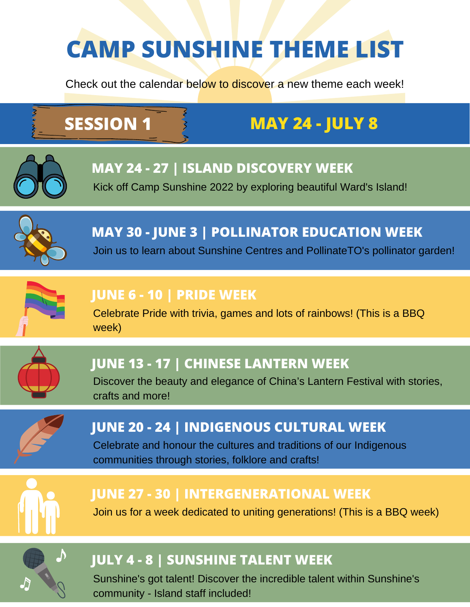# **CAMP SUNSHINE THEME LIST**

Check out the calendar below to discover a new theme each week!

## **SESSION 1 MAY 24 - JULY 8**



#### **MAY 24 - 27 | ISLAND DISCOVERY WEEK**

Kick off Camp Sunshine 2022 by exploring beautiful Ward's Island!



### **MAY 30 - JUNE 3 | POLLINATOR EDUCATION WEEK**

Join us to learn about Sunshine Centres and PollinateTO's pollinator garden!



#### **JUNE 6 - 10 | PRIDE WEEK**

Celebrate Pride with trivia, games and lots of rainbows! (This is a BBQ week)



#### **JUNE 13 - 17 | CHINESE LANTERN WEEK**

Discover the beauty and elegance of China's Lantern Festival with stories, crafts and more!



#### **JUNE 20 - 24 | INDIGENOUS CULTURAL WEEK**

Celebrate and honour the cultures and traditions of our Indigenous communities through stories, folklore and crafts!



#### **JUNE 27 - 30 | INTERGENERATIONAL WEEK**

Join us for a week dedicated to uniting generations! (This is a BBQ week)



#### **JULY 4 - 8 | SUNSHINE TALENT WEEK**

Sunshine's got talent! Discover the incredible talent within Sunshine's community - Island staff included!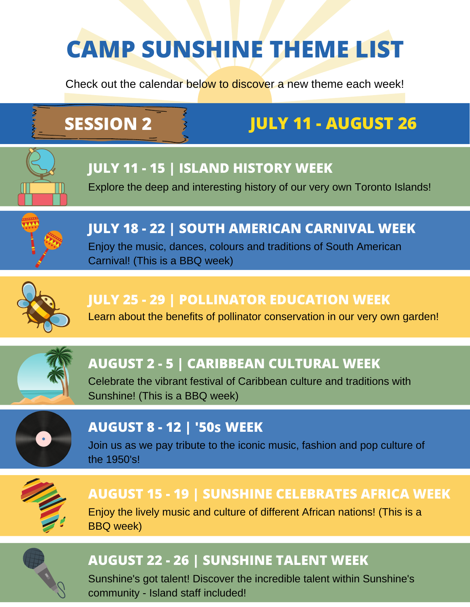# **CAMP SUNSHINE THEME LIST**

Check out the calendar below to discover a new theme each week!

## **SESSION 2 JULY 11 - AUGUST 26**



#### **JULY 11 - 15 | ISLAND HISTORY WEEK**

Explore the deep and interesting history of our very own Toronto Islands!



**JULY 18 - 22 | SOUTH AMERICAN CARNIVAL WEEK** Enjoy the music, dances, colours and traditions of South American Carnival! (This is a BBQ week)



#### **JULY 25 - 29 | POLLINATOR EDUCATION WEEK**

Learn about the benefits of pollinator conservation in our very own garden!



#### **AUGUST 2 - 5 | CARIBBEAN CULTURAL WEEK**

Celebrate the vibrant festival of Caribbean culture and traditions with Sunshine! (This is a BBQ week)



#### **AUGUST 8 - 12 | '50 S WEEK**

Join us as we pay tribute to the iconic music, fashion and pop culture of the 1950's!



#### **AUGUST 15 - 19 | SUNSHINE CELEBRATES AFRICA WEEK**

Enjoy the lively music and culture of different African nations! (This is a BBQ week)



#### **AUGUST 22 - 26 | SUNSHINE TALENT WEEK**

Sunshine's got talent! Discover the incredible talent within Sunshine's community - Island staff included!